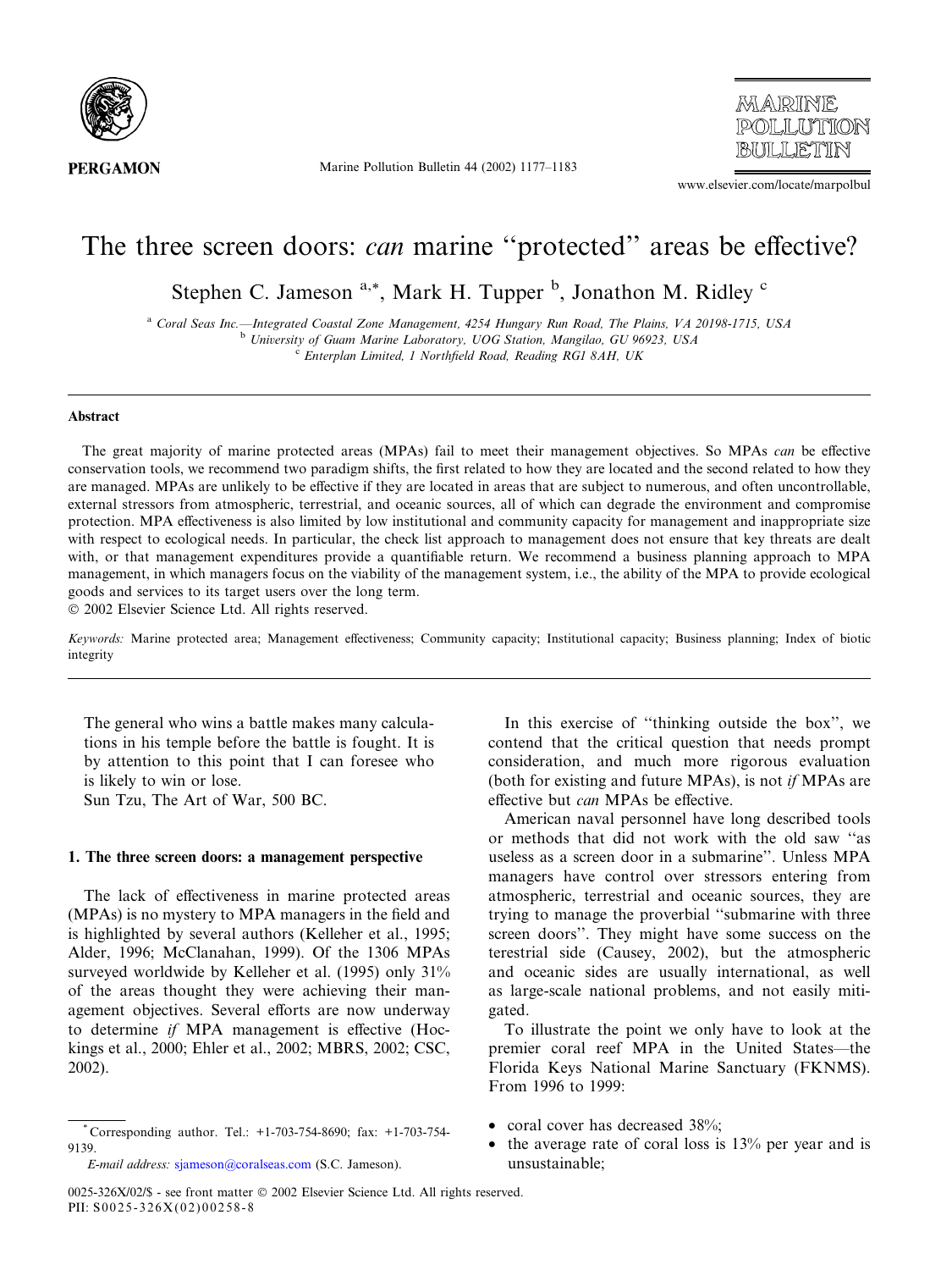

Marine Pollution Bulletin 44 (2002) 1177–1183

*MARINE* POLLUTION BUILLETIN

www.elsevier.com/locate/marpolbul

# The three screen doors: *can* marine "protected" areas be effective?

Stephen C. Jameson<sup>a,\*</sup>, Mark H. Tupper <sup>b</sup>, Jonathon M. Ridley <sup>c</sup>

<sup>a</sup> Coral Seas Inc.—Integrated Coastal Zone Management, 4254 Hungary Run Road, The Plains, VA 20198-1715, USA University of Guam Marine Laboratory, UOG Station, Mangilao, GU 96923, USA <sup>c</sup> Enterplan Limited, 1 Northfield Road, Reading RG1 8AH, UK

# Abstract

The great majority of marine protected areas (MPAs) fail to meet their management objectives. So MPAs can be effective conservation tools, we recommend two paradigm shifts, the first related to how they are located and the second related to how they are managed. MPAs are unlikely to be effective if they are located in areas that are subject to numerous, and often uncontrollable, external stressors from atmospheric, terrestrial, and oceanic sources, all of which can degrade the environment and compromise protection. MPA effectiveness is also limited by low institutional and community capacity for management and inappropriate size with respect to ecological needs. In particular, the check list approach to management does not ensure that key threats are dealt with, or that management expenditures provide a quantifiable return. We recommend a business planning approach to MPA management, in which managers focus on the viability of the management system, i.e., the ability of the MPA to provide ecological goods and services to its target users over the long term.

2002 Elsevier Science Ltd. All rights reserved.

Keywords: Marine protected area; Management effectiveness; Community capacity; Institutional capacity; Business planning; Index of biotic integrity

The general who wins a battle makes many calculations in his temple before the battle is fought. It is by attention to this point that I can foresee who is likely to win or lose. Sun Tzu, The Art of War, 500 BC.

## 1. The three screen doors: a management perspective

The lack of effectiveness in marine protected areas (MPAs) is no mystery to MPA managers in the field and is highlighted by several authors (Kelleher et al., 1995; Alder, 1996; McClanahan, 1999). Of the 1306 MPAs surveyed worldwide by Kelleher et al. (1995) only 31% of the areas thought they were achieving their management objectives. Several efforts are now underway to determine if MPA management is effective (Hockings et al., 2000; Ehler et al., 2002; MBRS, 2002; CSC, 2002).

In this exercise of ''thinking outside the box'', we contend that the critical question that needs prompt consideration, and much more rigorous evaluation (both for existing and future MPAs), is not if MPAs are effective but can MPAs be effective.

American naval personnel have long described tools or methods that did not work with the old saw ''as useless as a screen door in a submarine''. Unless MPA managers have control over stressors entering from atmospheric, terrestrial and oceanic sources, they are trying to manage the proverbial ''submarine with three screen doors''. They might have some success on the terestrial side (Causey, 2002), but the atmospheric and oceanic sides are usually international, as well as large-scale national problems, and not easily mitigated.

To illustrate the point we only have to look at the premier coral reef MPA in the United States––the Florida Keys National Marine Sanctuary (FKNMS). From 1996 to 1999:

\* Corresponding author. Tel.: +1-703-754-8690; fax: +1-703-754- 9139.

E-mail address: [sjameson@coralseas.com](mail to: sjameson@coralseas.com) (S.C. Jameson).

- coral cover has decreased 38%;
- the average rate of coral loss is 13% per year and is unsustainable;

0025-326X/02/\$ - see front matter 2002 Elsevier Science Ltd. All rights reserved. PII: S0025-326X(02)00258-8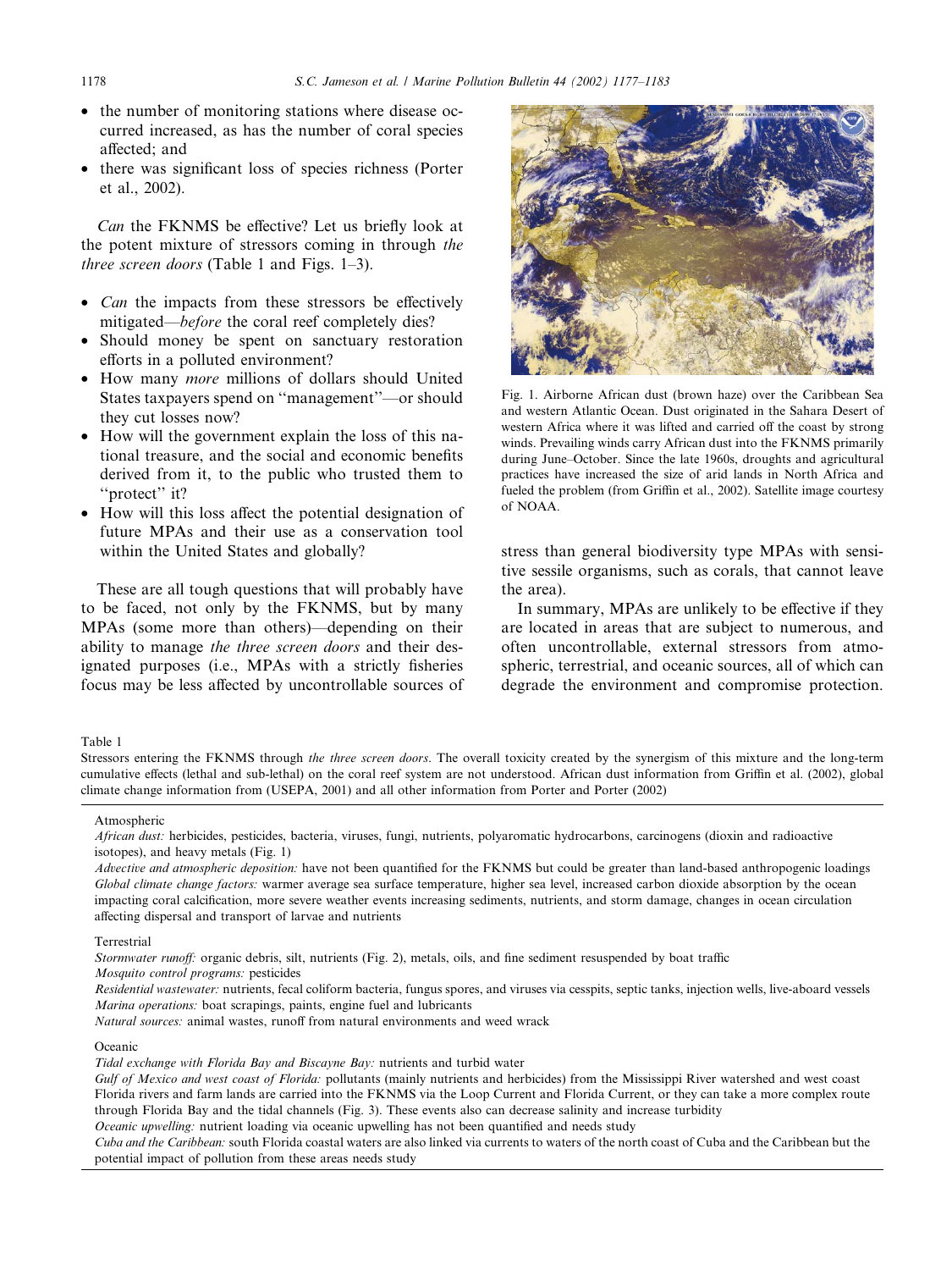- the number of monitoring stations where disease occurred increased, as has the number of coral species affected; and
- there was significant loss of species richness (Porter et al., 2002).

Can the FKNMS be effective? Let us briefly look at the potent mixture of stressors coming in through the three screen doors (Table 1 and Figs. 1–3).

- *Can* the impacts from these stressors be effectively mitigated—*before* the coral reef completely dies?
- Should money be spent on sanctuary restoration efforts in a polluted environment?
- How many more millions of dollars should United States taxpayers spend on ''management''––or should they cut losses now?
- How will the government explain the loss of this national treasure, and the social and economic benefits derived from it, to the public who trusted them to "protect" it?
- How will this loss affect the potential designation of future MPAs and their use as a conservation tool within the United States and globally?

These are all tough questions that will probably have to be faced, not only by the FKNMS, but by many MPAs (some more than others)––depending on their ability to manage the three screen doors and their designated purposes (i.e., MPAs with a strictly fisheries focus may be less affected by uncontrollable sources of



Fig. 1. Airborne African dust (brown haze) over the Caribbean Sea and western Atlantic Ocean. Dust originated in the Sahara Desert of western Africa where it was lifted and carried off the coast by strong winds. Prevailing winds carry African dust into the FKNMS primarily during June–October. Since the late 1960s, droughts and agricultural practices have increased the size of arid lands in North Africa and fueled the problem (from Griffin et al., 2002). Satellite image courtesy of NOAA.

stress than general biodiversity type MPAs with sensitive sessile organisms, such as corals, that cannot leave the area).

In summary, MPAs are unlikely to be effective if they are located in areas that are subject to numerous, and often uncontrollable, external stressors from atmospheric, terrestrial, and oceanic sources, all of which can degrade the environment and compromise protection.

Table 1

#### Atmospheric

African dust: herbicides, pesticides, bacteria, viruses, fungi, nutrients, polyaromatic hydrocarbons, carcinogens (dioxin and radioactive isotopes), and heavy metals (Fig. 1)

Advective and atmospheric deposition: have not been quantified for the FKNMS but could be greater than land-based anthropogenic loadings Global climate change factors: warmer average sea surface temperature, higher sea level, increased carbon dioxide absorption by the ocean impacting coral calcification, more severe weather events increasing sediments, nutrients, and storm damage, changes in ocean circulation affecting dispersal and transport of larvae and nutrients

#### Terrestrial

Stormwater runoff: organic debris, silt, nutrients (Fig. 2), metals, oils, and fine sediment resuspended by boat traffic

Mosquito control programs: pesticides

Residential wastewater: nutrients, fecal coliform bacteria, fungus spores, and viruses via cesspits, septic tanks, injection wells, live-aboard vessels Marina operations: boat scrapings, paints, engine fuel and lubricants

Natural sources: animal wastes, runoff from natural environments and weed wrack

#### Oceanic

Tidal exchange with Florida Bay and Biscayne Bay: nutrients and turbid water

Gulf of Mexico and west coast of Florida: pollutants (mainly nutrients and herbicides) from the Mississippi River watershed and west coast Florida rivers and farm lands are carried into the FKNMS via the Loop Current and Florida Current, or they can take a more complex route through Florida Bay and the tidal channels (Fig. 3). These events also can decrease salinity and increase turbidity

Oceanic upwelling: nutrient loading via oceanic upwelling has not been quantified and needs study

Cuba and the Caribbean: south Florida coastal waters are also linked via currents to waters of the north coast of Cuba and the Caribbean but the potential impact of pollution from these areas needs study

Stressors entering the FKNMS through the three screen doors. The overall toxicity created by the synergism of this mixture and the long-term cumulative effects (lethal and sub-lethal) on the coral reef system are not understood. African dust information from Griffin et al. (2002), global climate change information from (USEPA, 2001) and all other information from Porter and Porter (2002)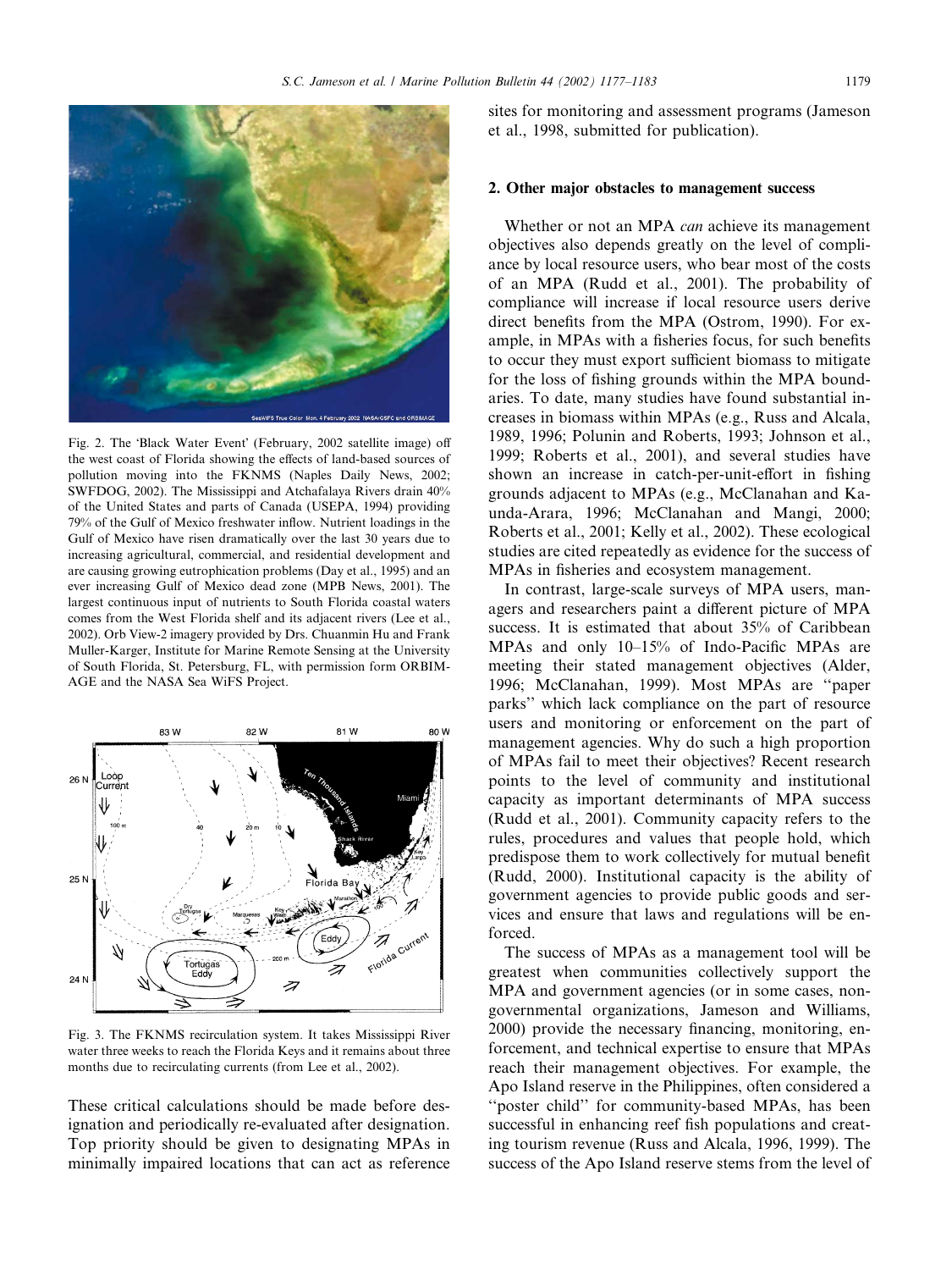

Fig. 2. The 'Black Water Event' (February, 2002 satellite image) off the west coast of Florida showing the effects of land-based sources of pollution moving into the FKNMS (Naples Daily News, 2002; SWFDOG, 2002). The Mississippi and Atchafalaya Rivers drain 40% of the United States and parts of Canada (USEPA, 1994) providing 79% of the Gulf of Mexico freshwater inflow. Nutrient loadings in the Gulf of Mexico have risen dramatically over the last 30 years due to increasing agricultural, commercial, and residential development and are causing growing eutrophication problems (Day et al., 1995) and an ever increasing Gulf of Mexico dead zone (MPB News, 2001). The largest continuous input of nutrients to South Florida coastal waters comes from the West Florida shelf and its adjacent rivers (Lee et al., 2002). Orb View-2 imagery provided by Drs. Chuanmin Hu and Frank Muller-Karger, Institute for Marine Remote Sensing at the University of South Florida, St. Petersburg, FL, with permission form ORBIM-AGE and the NASA Sea WiFS Project.



Fig. 3. The FKNMS recirculation system. It takes Mississippi River water three weeks to reach the Florida Keys and it remains about three months due to recirculating currents (from Lee et al., 2002).

These critical calculations should be made before designation and periodically re-evaluated after designation. Top priority should be given to designating MPAs in minimally impaired locations that can act as reference

sites for monitoring and assessment programs (Jameson et al., 1998, submitted for publication).

# 2. Other major obstacles to management success

Whether or not an MPA *can* achieve its management objectives also depends greatly on the level of compliance by local resource users, who bear most of the costs of an MPA (Rudd et al., 2001). The probability of compliance will increase if local resource users derive direct benefits from the MPA (Ostrom, 1990). For example, in MPAs with a fisheries focus, for such benefits to occur they must export sufficient biomass to mitigate for the loss of fishing grounds within the MPA boundaries. To date, many studies have found substantial increases in biomass within MPAs (e.g., Russ and Alcala, 1989, 1996; Polunin and Roberts, 1993; Johnson et al., 1999; Roberts et al., 2001), and several studies have shown an increase in catch-per-unit-effort in fishing grounds adjacent to MPAs (e.g., McClanahan and Kaunda-Arara, 1996; McClanahan and Mangi, 2000; Roberts et al., 2001; Kelly et al., 2002). These ecological studies are cited repeatedly as evidence for the success of MPAs in fisheries and ecosystem management.

In contrast, large-scale surveys of MPA users, managers and researchers paint a different picture of MPA success. It is estimated that about 35% of Caribbean MPAs and only 10–15% of Indo-Pacific MPAs are meeting their stated management objectives (Alder, 1996; McClanahan, 1999). Most MPAs are ''paper parks'' which lack compliance on the part of resource users and monitoring or enforcement on the part of management agencies. Why do such a high proportion of MPAs fail to meet their objectives? Recent research points to the level of community and institutional capacity as important determinants of MPA success (Rudd et al., 2001). Community capacity refers to the rules, procedures and values that people hold, which predispose them to work collectively for mutual benefit (Rudd, 2000). Institutional capacity is the ability of government agencies to provide public goods and services and ensure that laws and regulations will be enforced.

The success of MPAs as a management tool will be greatest when communities collectively support the MPA and government agencies (or in some cases, nongovernmental organizations, Jameson and Williams, 2000) provide the necessary financing, monitoring, enforcement, and technical expertise to ensure that MPAs reach their management objectives. For example, the Apo Island reserve in the Philippines, often considered a ''poster child'' for community-based MPAs, has been successful in enhancing reef fish populations and creating tourism revenue (Russ and Alcala, 1996, 1999). The success of the Apo Island reserve stems from the level of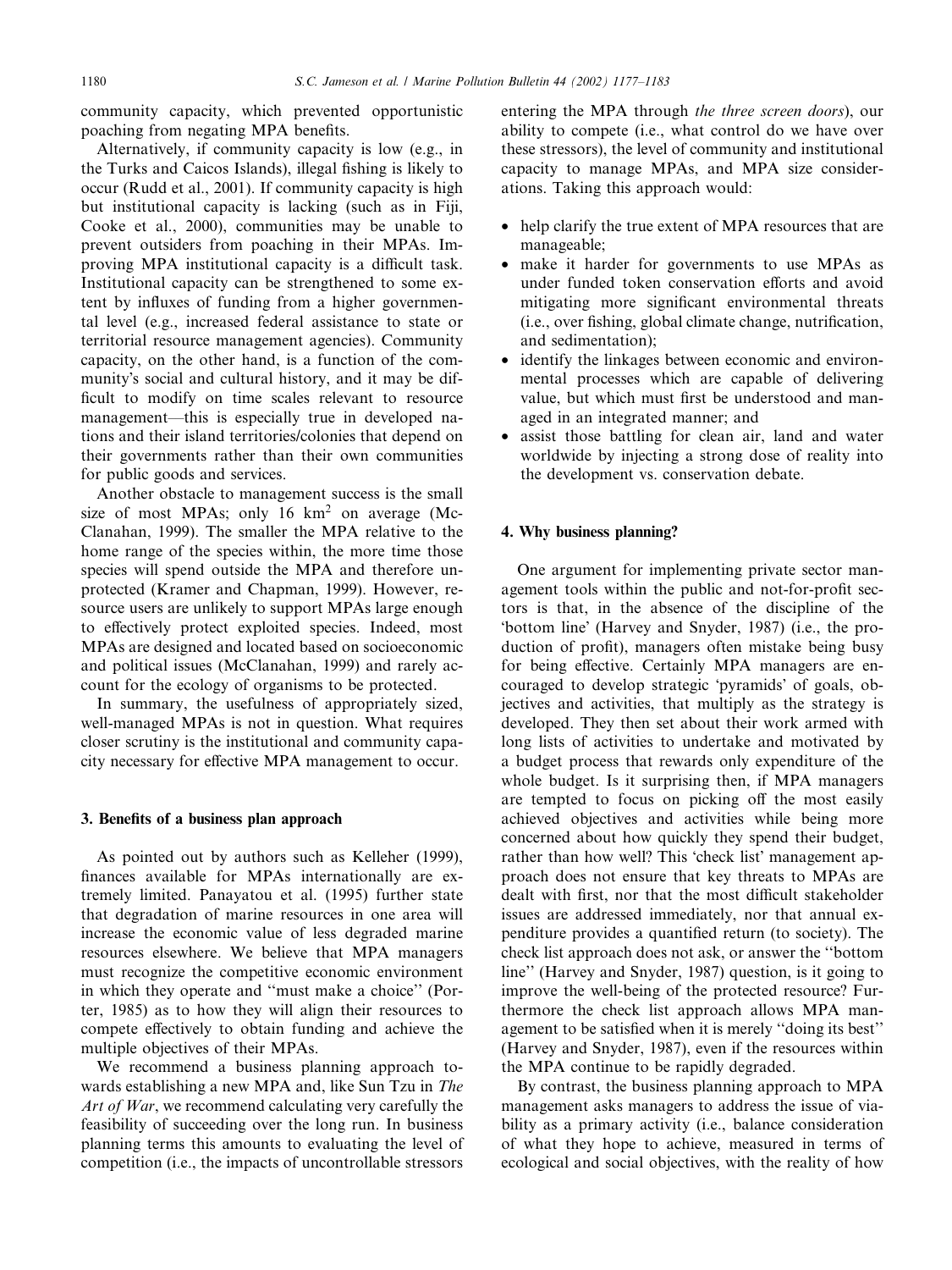community capacity, which prevented opportunistic poaching from negating MPA benefits.

Alternatively, if community capacity is low (e.g., in the Turks and Caicos Islands), illegal fishing is likely to occur (Rudd et al., 2001). If community capacity is high but institutional capacity is lacking (such as in Fiji, Cooke et al., 2000), communities may be unable to prevent outsiders from poaching in their MPAs. Improving MPA institutional capacity is a difficult task. Institutional capacity can be strengthened to some extent by influxes of funding from a higher governmental level (e.g., increased federal assistance to state or territorial resource management agencies). Community capacity, on the other hand, is a function of the community's social and cultural history, and it may be difficult to modify on time scales relevant to resource management—this is especially true in developed nations and their island territories/colonies that depend on their governments rather than their own communities for public goods and services.

Another obstacle to management success is the small size of most MPAs; only  $16 \text{ km}^2$  on average (Mc-Clanahan, 1999). The smaller the MPA relative to the home range of the species within, the more time those species will spend outside the MPA and therefore unprotected (Kramer and Chapman, 1999). However, resource users are unlikely to support MPAs large enough to effectively protect exploited species. Indeed, most MPAs are designed and located based on socioeconomic and political issues (McClanahan, 1999) and rarely account for the ecology of organisms to be protected.

In summary, the usefulness of appropriately sized, well-managed MPAs is not in question. What requires closer scrutiny is the institutional and community capacity necessary for effective MPA management to occur.

# 3. Benefits of a business plan approach

As pointed out by authors such as Kelleher (1999), finances available for MPAs internationally are extremely limited. Panayatou et al. (1995) further state that degradation of marine resources in one area will increase the economic value of less degraded marine resources elsewhere. We believe that MPA managers must recognize the competitive economic environment in which they operate and ''must make a choice'' (Porter, 1985) as to how they will align their resources to compete effectively to obtain funding and achieve the multiple objectives of their MPAs.

We recommend a business planning approach towards establishing a new MPA and, like Sun Tzu in The Art of War, we recommend calculating very carefully the feasibility of succeeding over the long run. In business planning terms this amounts to evaluating the level of competition (i.e., the impacts of uncontrollable stressors

entering the MPA through the three screen doors), our ability to compete (i.e., what control do we have over these stressors), the level of community and institutional capacity to manage MPAs, and MPA size considerations. Taking this approach would:

- help clarify the true extent of MPA resources that are manageable;
- make it harder for governments to use MPAs as under funded token conservation efforts and avoid mitigating more significant environmental threats (i.e., over fishing, global climate change, nutrification, and sedimentation);
- identify the linkages between economic and environmental processes which are capable of delivering value, but which must first be understood and managed in an integrated manner; and
- assist those battling for clean air, land and water worldwide by injecting a strong dose of reality into the development vs. conservation debate.

### 4. Why business planning?

One argument for implementing private sector management tools within the public and not-for-profit sectors is that, in the absence of the discipline of the 'bottom line' (Harvey and Snyder, 1987) (i.e., the production of profit), managers often mistake being busy for being effective. Certainly MPA managers are encouraged to develop strategic 'pyramids' of goals, objectives and activities, that multiply as the strategy is developed. They then set about their work armed with long lists of activities to undertake and motivated by a budget process that rewards only expenditure of the whole budget. Is it surprising then, if MPA managers are tempted to focus on picking off the most easily achieved objectives and activities while being more concerned about how quickly they spend their budget, rather than how well? This 'check list' management approach does not ensure that key threats to MPAs are dealt with first, nor that the most difficult stakeholder issues are addressed immediately, nor that annual expenditure provides a quantified return (to society). The check list approach does not ask, or answer the ''bottom line'' (Harvey and Snyder, 1987) question, is it going to improve the well-being of the protected resource? Furthermore the check list approach allows MPA management to be satisfied when it is merely ''doing its best'' (Harvey and Snyder, 1987), even if the resources within the MPA continue to be rapidly degraded.

By contrast, the business planning approach to MPA management asks managers to address the issue of viability as a primary activity (i.e., balance consideration of what they hope to achieve, measured in terms of ecological and social objectives, with the reality of how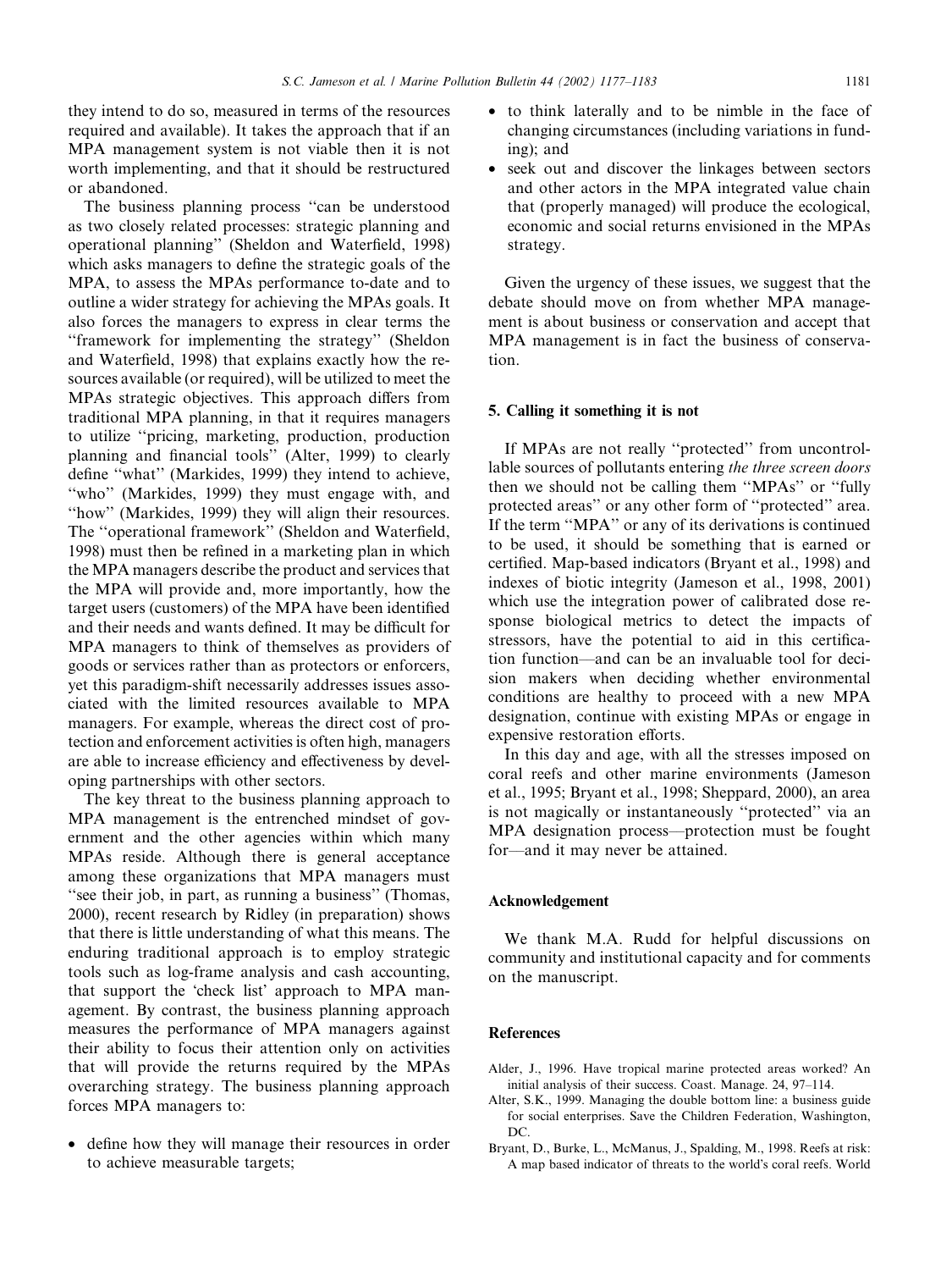they intend to do so, measured in terms of the resources required and available). It takes the approach that if an MPA management system is not viable then it is not worth implementing, and that it should be restructured or abandoned.

The business planning process ''can be understood as two closely related processes: strategic planning and operational planning'' (Sheldon and Waterfield, 1998) which asks managers to define the strategic goals of the MPA, to assess the MPAs performance to-date and to outline a wider strategy for achieving the MPAs goals. It also forces the managers to express in clear terms the ''framework for implementing the strategy'' (Sheldon and Waterfield, 1998) that explains exactly how the resources available (or required), will be utilized to meet the MPAs strategic objectives. This approach differs from traditional MPA planning, in that it requires managers to utilize ''pricing, marketing, production, production planning and financial tools'' (Alter, 1999) to clearly define ''what'' (Markides, 1999) they intend to achieve, ''who'' (Markides, 1999) they must engage with, and "how" (Markides, 1999) they will align their resources. The ''operational framework'' (Sheldon and Waterfield, 1998) must then be refined in a marketing plan in which the MPA managers describe the product and services that the MPA will provide and, more importantly, how the target users (customers) of the MPA have been identified and their needs and wants defined. It may be difficult for MPA managers to think of themselves as providers of goods or services rather than as protectors or enforcers, yet this paradigm-shift necessarily addresses issues associated with the limited resources available to MPA managers. For example, whereas the direct cost of protection and enforcement activities is often high, managers are able to increase efficiency and effectiveness by developing partnerships with other sectors.

The key threat to the business planning approach to MPA management is the entrenched mindset of government and the other agencies within which many MPAs reside. Although there is general acceptance among these organizations that MPA managers must "see their job, in part, as running a business" (Thomas, 2000), recent research by Ridley (in preparation) shows that there is little understanding of what this means. The enduring traditional approach is to employ strategic tools such as log-frame analysis and cash accounting, that support the 'check list' approach to MPA management. By contrast, the business planning approach measures the performance of MPA managers against their ability to focus their attention only on activities that will provide the returns required by the MPAs overarching strategy. The business planning approach forces MPA managers to:

• define how they will manage their resources in order to achieve measurable targets;

- to think laterally and to be nimble in the face of changing circumstances (including variations in funding); and
- seek out and discover the linkages between sectors and other actors in the MPA integrated value chain that (properly managed) will produce the ecological, economic and social returns envisioned in the MPAs strategy.

Given the urgency of these issues, we suggest that the debate should move on from whether MPA management is about business or conservation and accept that MPA management is in fact the business of conservation.

# 5. Calling it something it is not

If MPAs are not really ''protected'' from uncontrollable sources of pollutants entering the three screen doors then we should not be calling them ''MPAs'' or ''fully protected areas'' or any other form of ''protected'' area. If the term ''MPA'' or any of its derivations is continued to be used, it should be something that is earned or certified. Map-based indicators (Bryant et al., 1998) and indexes of biotic integrity (Jameson et al., 1998, 2001) which use the integration power of calibrated dose response biological metrics to detect the impacts of stressors, have the potential to aid in this certification function––and can be an invaluable tool for decision makers when deciding whether environmental conditions are healthy to proceed with a new MPA designation, continue with existing MPAs or engage in expensive restoration efforts.

In this day and age, with all the stresses imposed on coral reefs and other marine environments (Jameson et al., 1995; Bryant et al., 1998; Sheppard, 2000), an area is not magically or instantaneously ''protected'' via an MPA designation process––protection must be fought for––and it may never be attained.

## Acknowledgement

We thank M.A. Rudd for helpful discussions on community and institutional capacity and for comments on the manuscript.

### References

- Alder, J., 1996. Have tropical marine protected areas worked? An initial analysis of their success. Coast. Manage. 24, 97–114.
- Alter, S.K., 1999. Managing the double bottom line: a business guide for social enterprises. Save the Children Federation, Washington,  $DC$
- Bryant, D., Burke, L., McManus, J., Spalding, M., 1998. Reefs at risk: A map based indicator of threats to the world's coral reefs. World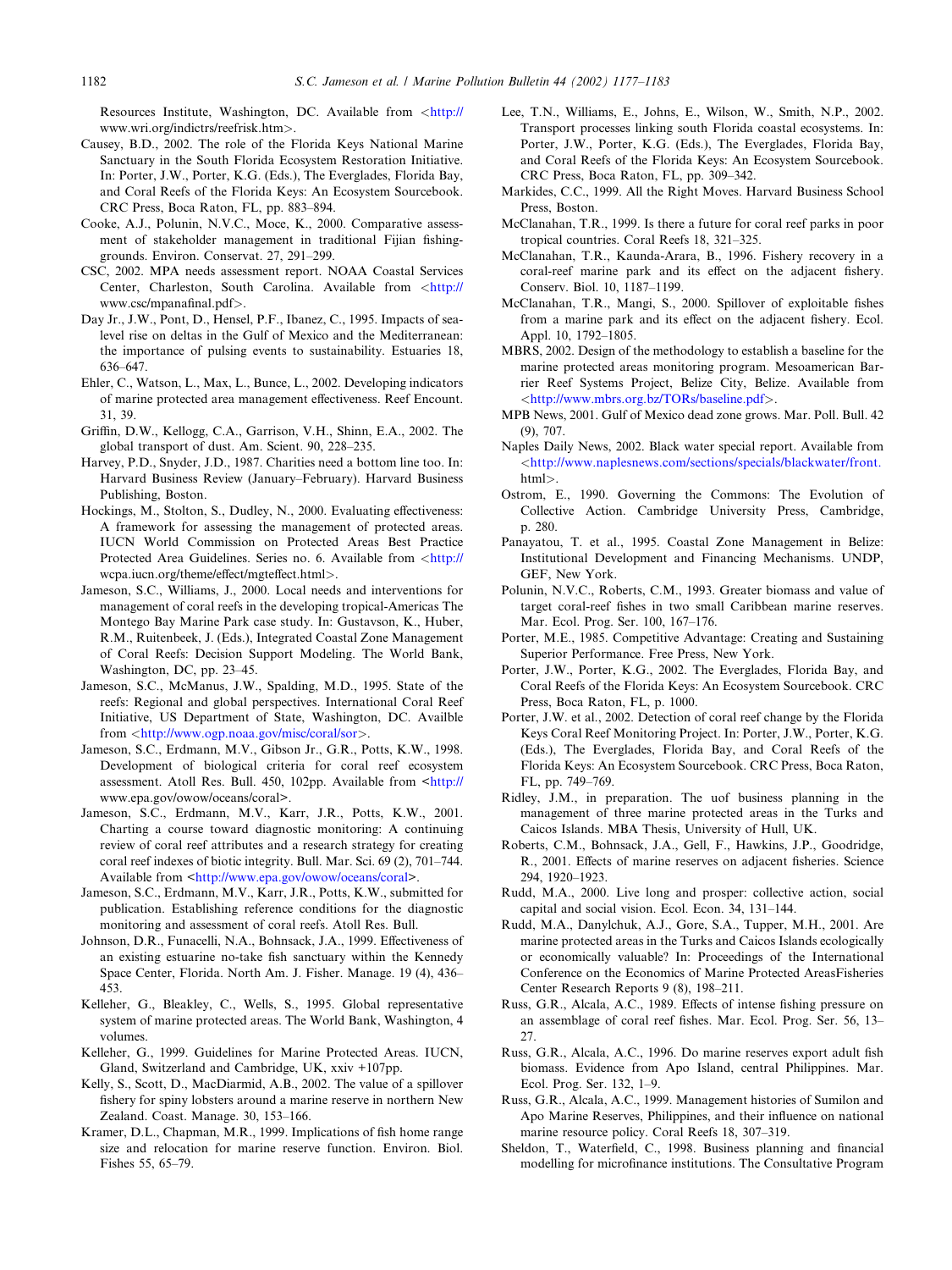Resources Institute, Washington, DC. Available from <[http://](http://www.wri.org/indictrs/reefrisk.htm) [www.wri.org/indictrs/reefrisk.htm](http://www.wri.org/indictrs/reefrisk.htm)>.

- Causey, B.D., 2002. The role of the Florida Keys National Marine Sanctuary in the South Florida Ecosystem Restoration Initiative. In: Porter, J.W., Porter, K.G. (Eds.), The Everglades, Florida Bay, and Coral Reefs of the Florida Keys: An Ecosystem Sourcebook. CRC Press, Boca Raton, FL, pp. 883–894.
- Cooke, A.J., Polunin, N.V.C., Moce, K., 2000. Comparative assessment of stakeholder management in traditional Fijian fishinggrounds. Environ. Conservat. 27, 291–299.
- CSC, 2002. MPA needs assessment report. NOAA Coastal Services Center, Charleston, South Carolina. Available from <[http://](http://www.csc/mpanafinal.pdf) [www.csc/mpanafinal.pdf](http://www.csc/mpanafinal.pdf)>.
- Day Jr., J.W., Pont, D., Hensel, P.F., Ibanez, C., 1995. Impacts of sealevel rise on deltas in the Gulf of Mexico and the Mediterranean: the importance of pulsing events to sustainability. Estuaries 18, 636–647.
- Ehler, C., Watson, L., Max, L., Bunce, L., 2002. Developing indicators of marine protected area management effectiveness. Reef Encount. 31, 39.
- Griffin, D.W., Kellogg, C.A., Garrison, V.H., Shinn, E.A., 2002. The global transport of dust. Am. Scient. 90, 228–235.
- Harvey, P.D., Snyder, J.D., 1987. Charities need a bottom line too. In: Harvard Business Review (January–February). Harvard Business Publishing, Boston.
- Hockings, M., Stolton, S., Dudley, N., 2000. Evaluating effectiveness: A framework for assessing the management of protected areas. IUCN World Commission on Protected Areas Best Practice Protected Area Guidelines. Series no. 6. Available from <[http://](http://wcpa.iucn.org/theme/effect/mgteffect.html) [wcpa.iucn.org/theme/effect/mgteffect.html](http://wcpa.iucn.org/theme/effect/mgteffect.html)>.
- Jameson, S.C., Williams, J., 2000. Local needs and interventions for management of coral reefs in the developing tropical-Americas The Montego Bay Marine Park case study. In: Gustavson, K., Huber, R.M., Ruitenbeek, J. (Eds.), Integrated Coastal Zone Management of Coral Reefs: Decision Support Modeling. The World Bank, Washington, DC, pp. 23–45.
- Jameson, S.C., McManus, J.W., Spalding, M.D., 1995. State of the reefs: Regional and global perspectives. International Coral Reef Initiative, US Department of State, Washington, DC. Availble from <<http://www.ogp.noaa.gov/misc/coral/sor>>.
- Jameson, S.C., Erdmann, M.V., Gibson Jr., G.R., Potts, K.W., 1998. Development of biological criteria for coral reef ecosystem assessment. Atoll Res. Bull. 450, 102pp. Available from [<http://](http://www.epa.gov/owow/oceans/coral) [www.epa.gov/owow/oceans/coral>](http://www.epa.gov/owow/oceans/coral).
- Jameson, S.C., Erdmann, M.V., Karr, J.R., Potts, K.W., 2001. Charting a course toward diagnostic monitoring: A continuing review of coral reef attributes and a research strategy for creating coral reef indexes of biotic integrity. Bull. Mar. Sci. 69 (2), 701–744. Available from [<http://www.epa.gov/owow/oceans/coral](http://www.epa.gov/owow/oceans/coral)>.
- Jameson, S.C., Erdmann, M.V., Karr, J.R., Potts, K.W., submitted for publication. Establishing reference conditions for the diagnostic monitoring and assessment of coral reefs. Atoll Res. Bull.
- Johnson, D.R., Funacelli, N.A., Bohnsack, J.A., 1999. Effectiveness of an existing estuarine no-take fish sanctuary within the Kennedy Space Center, Florida. North Am. J. Fisher. Manage. 19 (4), 436– 453.
- Kelleher, G., Bleakley, C., Wells, S., 1995. Global representative system of marine protected areas. The World Bank, Washington, 4 volumes.
- Kelleher, G., 1999. Guidelines for Marine Protected Areas. IUCN, Gland, Switzerland and Cambridge, UK, xxiv +107pp.
- Kelly, S., Scott, D., MacDiarmid, A.B., 2002. The value of a spillover fishery for spiny lobsters around a marine reserve in northern New Zealand. Coast. Manage. 30, 153–166.
- Kramer, D.L., Chapman, M.R., 1999. Implications of fish home range size and relocation for marine reserve function. Environ. Biol. Fishes 55, 65–79.
- Lee, T.N., Williams, E., Johns, E., Wilson, W., Smith, N.P., 2002. Transport processes linking south Florida coastal ecosystems. In: Porter, J.W., Porter, K.G. (Eds.), The Everglades, Florida Bay, and Coral Reefs of the Florida Keys: An Ecosystem Sourcebook. CRC Press, Boca Raton, FL, pp. 309–342.
- Markides, C.C., 1999. All the Right Moves. Harvard Business School Press, Boston.
- McClanahan, T.R., 1999. Is there a future for coral reef parks in poor tropical countries. Coral Reefs 18, 321–325.
- McClanahan, T.R., Kaunda-Arara, B., 1996. Fishery recovery in a coral-reef marine park and its effect on the adjacent fishery. Conserv. Biol. 10, 1187–1199.
- McClanahan, T.R., Mangi, S., 2000. Spillover of exploitable fishes from a marine park and its effect on the adjacent fishery. Ecol. Appl. 10, 1792–1805.
- MBRS, 2002. Design of the methodology to establish a baseline for the marine protected areas monitoring program. Mesoamerican Barrier Reef Systems Project, Belize City, Belize. Available from <<http://www.mbrs.org.bz/TORs/baseline.pdf>>.
- MPB News, 2001. Gulf of Mexico dead zone grows. Mar. Poll. Bull. 42 (9), 707.
- Naples Daily News, 2002. Black water special report. Available from <[http://www.naplesnews.com/sections/specials/blackwater/front.](http://www.naplesnews.com/sections/specials/blackwater/front.html) html>.
- Ostrom, E., 1990. Governing the Commons: The Evolution of Collective Action. Cambridge University Press, Cambridge, p. 280.
- Panayatou, T. et al., 1995. Coastal Zone Management in Belize: Institutional Development and Financing Mechanisms. UNDP, GEF, New York.
- Polunin, N.V.C., Roberts, C.M., 1993. Greater biomass and value of target coral-reef fishes in two small Caribbean marine reserves. Mar. Ecol. Prog. Ser. 100, 167–176.
- Porter, M.E., 1985. Competitive Advantage: Creating and Sustaining Superior Performance. Free Press, New York.
- Porter, J.W., Porter, K.G., 2002. The Everglades, Florida Bay, and Coral Reefs of the Florida Keys: An Ecosystem Sourcebook. CRC Press, Boca Raton, FL, p. 1000.
- Porter, J.W. et al., 2002. Detection of coral reef change by the Florida Keys Coral Reef Monitoring Project. In: Porter, J.W., Porter, K.G. (Eds.), The Everglades, Florida Bay, and Coral Reefs of the Florida Keys: An Ecosystem Sourcebook. CRC Press, Boca Raton, FL, pp. 749–769.
- Ridley, J.M., in preparation. The uof business planning in the management of three marine protected areas in the Turks and Caicos Islands. MBA Thesis, University of Hull, UK.
- Roberts, C.M., Bohnsack, J.A., Gell, F., Hawkins, J.P., Goodridge, R., 2001. Effects of marine reserves on adjacent fisheries. Science 294, 1920–1923.
- Rudd, M.A., 2000. Live long and prosper: collective action, social capital and social vision. Ecol. Econ. 34, 131–144.
- Rudd, M.A., Danylchuk, A.J., Gore, S.A., Tupper, M.H., 2001. Are marine protected areas in the Turks and Caicos Islands ecologically or economically valuable? In: Proceedings of the International Conference on the Economics of Marine Protected AreasFisheries Center Research Reports 9 (8), 198–211.
- Russ, G.R., Alcala, A.C., 1989. Effects of intense fishing pressure on an assemblage of coral reef fishes. Mar. Ecol. Prog. Ser. 56, 13– 27.
- Russ, G.R., Alcala, A.C., 1996. Do marine reserves export adult fish biomass. Evidence from Apo Island, central Philippines. Mar. Ecol. Prog. Ser. 132, 1–9.
- Russ, G.R., Alcala, A.C., 1999. Management histories of Sumilon and Apo Marine Reserves, Philippines, and their influence on national marine resource policy. Coral Reefs 18, 307–319.
- Sheldon, T., Waterfield, C., 1998. Business planning and financial modelling for microfinance institutions. The Consultative Program